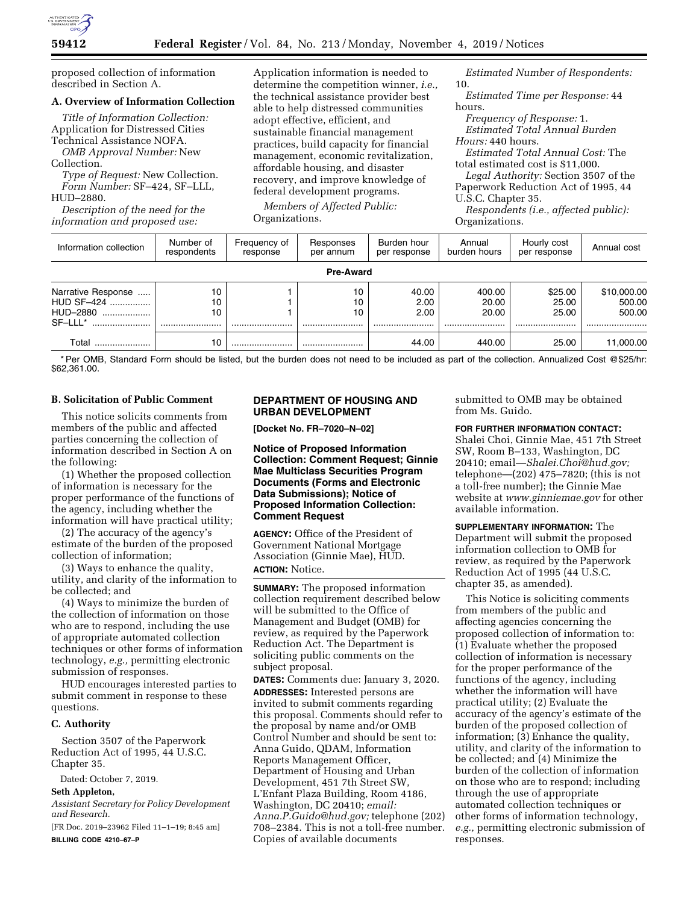

proposed collection of information described in Section A.

## **A. Overview of Information Collection**

*Title of Information Collection:*  Application for Distressed Cities Technical Assistance NOFA. *OMB Approval Number:* New Collection.

*Type of Request:* New Collection. *Form Number:* SF–424, SF–LLL, HUD–2880.

*Description of the need for the information and proposed use:* 

Application information is needed to determine the competition winner, *i.e.,*  the technical assistance provider best able to help distressed communities adopt effective, efficient, and sustainable financial management practices, build capacity for financial management, economic revitalization, affordable housing, and disaster recovery, and improve knowledge of federal development programs.

*Members of Affected Public:*  Organizations.

*Estimated Number of Respondents:*  10.

*Estimated Time per Response:* 44 hours.

*Frequency of Response:* 1. *Estimated Total Annual Burden Hours:* 440 hours.

*Estimated Total Annual Cost:* The total estimated cost is \$11,000.

*Legal Authority:* Section 3507 of the Paperwork Reduction Act of 1995, 44 U.S.C. Chapter 35.

*Respondents (i.e., affected public):*  Organizations.

| Information collection                                      | Number of<br>respondents | Frequency of<br>response | Responses<br>per annum | Burden hour<br>per response | Annual<br>burden hours       | Hourly cost<br>per response   | Annual cost                         |
|-------------------------------------------------------------|--------------------------|--------------------------|------------------------|-----------------------------|------------------------------|-------------------------------|-------------------------------------|
| <b>Pre-Award</b>                                            |                          |                          |                        |                             |                              |                               |                                     |
| Narrative Response<br>HUD SF-424<br>HUD-2880<br><br>SF-LLL* | 10<br>10<br>10<br>       |                          | 10<br>10<br>10<br>     | 40.00<br>2.00<br>2.00<br>   | 400.00<br>20.00<br>20.00<br> | \$25.00<br>25.00<br>25.00<br> | \$10,000.00<br>500.00<br>500.00<br> |
| Total                                                       | 10                       |                          |                        | 44.00                       | 440.00                       | 25.00                         | 11.000.00                           |

\* Per OMB, Standard Form should be listed, but the burden does not need to be included as part of the collection. Annualized Cost @\$25/hr: \$62,361.00.

### **B. Solicitation of Public Comment**

This notice solicits comments from members of the public and affected parties concerning the collection of information described in Section A on the following:

(1) Whether the proposed collection of information is necessary for the proper performance of the functions of the agency, including whether the information will have practical utility;

(2) The accuracy of the agency's estimate of the burden of the proposed collection of information;

(3) Ways to enhance the quality, utility, and clarity of the information to be collected; and

(4) Ways to minimize the burden of the collection of information on those who are to respond, including the use of appropriate automated collection techniques or other forms of information technology, *e.g.,* permitting electronic submission of responses.

HUD encourages interested parties to submit comment in response to these questions.

### **C. Authority**

Section 3507 of the Paperwork Reduction Act of 1995, 44 U.S.C. Chapter 35.

Dated: October 7, 2019. **Seth Appleton,** 

*Assistant Secretary for Policy Development and Research.* 

[FR Doc. 2019–23962 Filed 11–1–19; 8:45 am] **BILLING CODE 4210–67–P** 

## **DEPARTMENT OF HOUSING AND URBAN DEVELOPMENT**

**[Docket No. FR–7020–N–02]** 

**Notice of Proposed Information Collection: Comment Request; Ginnie Mae Multiclass Securities Program Documents (Forms and Electronic Data Submissions); Notice of Proposed Information Collection: Comment Request** 

**AGENCY:** Office of the President of Government National Mortgage Association (Ginnie Mae), HUD. **ACTION:** Notice.

**SUMMARY:** The proposed information collection requirement described below will be submitted to the Office of Management and Budget (OMB) for review, as required by the Paperwork Reduction Act. The Department is soliciting public comments on the subject proposal.

**DATES:** Comments due: January 3, 2020. **ADDRESSES:** Interested persons are invited to submit comments regarding this proposal. Comments should refer to the proposal by name and/or OMB Control Number and should be sent to: Anna Guido, QDAM, Information Reports Management Officer, Department of Housing and Urban Development, 451 7th Street SW, L'Enfant Plaza Building, Room 4186, Washington, DC 20410; *email: [Anna.P.Guido@hud.gov;](mailto:Anna.P.Guido@hud.gov)* telephone (202) 708–2384. This is not a toll-free number. Copies of available documents

submitted to OMB may be obtained from Ms. Guido.

# **FOR FURTHER INFORMATION CONTACT:**

Shalei Choi, Ginnie Mae, 451 7th Street SW, Room B–133, Washington, DC 20410; email—*[Shalei.Choi@hud.gov;](mailto:Shalei.Choi@hud.gov)*  telephone—(202) 475–7820; (this is not a toll-free number); the Ginnie Mae website at *[www.ginniemae.gov](http://www.ginniemae.gov)* for other available information.

**SUPPLEMENTARY INFORMATION:** The Department will submit the proposed information collection to OMB for review, as required by the Paperwork Reduction Act of 1995 (44 U.S.C. chapter 35, as amended).

This Notice is soliciting comments from members of the public and affecting agencies concerning the proposed collection of information to: (1) Evaluate whether the proposed collection of information is necessary for the proper performance of the functions of the agency, including whether the information will have practical utility; (2) Evaluate the accuracy of the agency's estimate of the burden of the proposed collection of information; (3) Enhance the quality, utility, and clarity of the information to be collected; and (4) Minimize the burden of the collection of information on those who are to respond; including through the use of appropriate automated collection techniques or other forms of information technology, *e.g.,* permitting electronic submission of responses.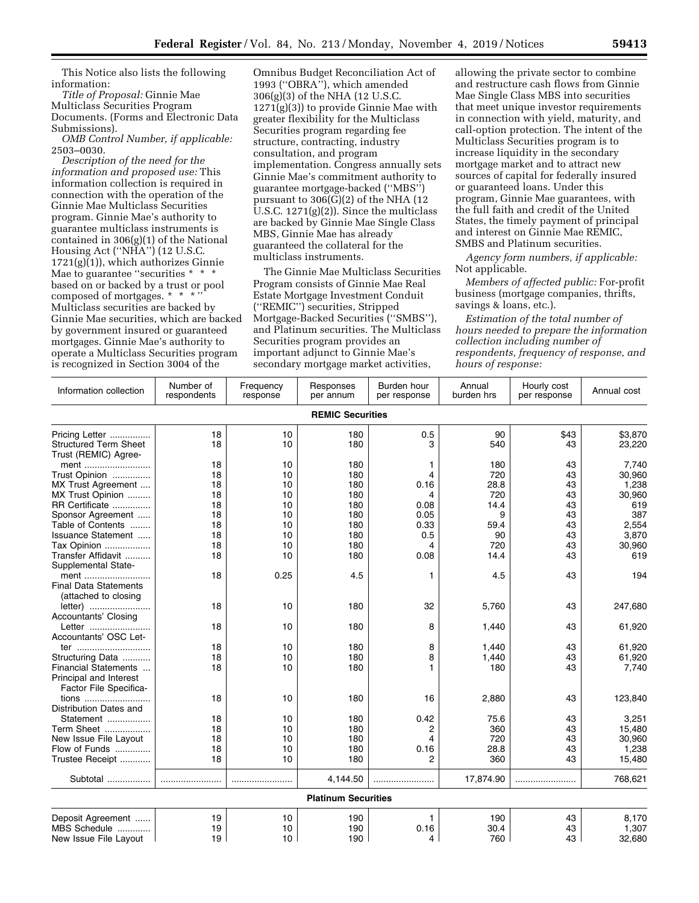This Notice also lists the following information:

*Title of Proposal:* Ginnie Mae Multiclass Securities Program Documents. (Forms and Electronic Data Submissions).

*OMB Control Number, if applicable:*  2503–0030.

*Description of the need for the information and proposed use:* This information collection is required in connection with the operation of the Ginnie Mae Multiclass Securities program. Ginnie Mae's authority to guarantee multiclass instruments is contained in 306(g)(1) of the National Housing Act (''NHA'') (12 U.S.C.  $1721(g)(1)$ , which authorizes Ginnie Mae to guarantee "securities \* \* \* based on or backed by a trust or pool composed of mortgages. \* \* \* '' Multiclass securities are backed by Ginnie Mae securities, which are backed by government insured or guaranteed mortgages. Ginnie Mae's authority to operate a Multiclass Securities program is recognized in Section 3004 of the

Omnibus Budget Reconciliation Act of 1993 (''OBRA''), which amended 306(g)(3) of the NHA (12 U.S.C. 1271(g)(3)) to provide Ginnie Mae with greater flexibility for the Multiclass Securities program regarding fee structure, contracting, industry consultation, and program implementation. Congress annually sets Ginnie Mae's commitment authority to guarantee mortgage-backed (''MBS'') pursuant to  $306(\overline{G})(2)$  of the NHA (12 U.S.C.  $1271(g)(2)$ ). Since the multiclass are backed by Ginnie Mae Single Class MBS, Ginnie Mae has already guaranteed the collateral for the multiclass instruments.

The Ginnie Mae Multiclass Securities Program consists of Ginnie Mae Real Estate Mortgage Investment Conduit (''REMIC'') securities, Stripped Mortgage-Backed Securities (''SMBS''), and Platinum securities. The Multiclass Securities program provides an important adjunct to Ginnie Mae's secondary mortgage market activities,

allowing the private sector to combine and restructure cash flows from Ginnie Mae Single Class MBS into securities that meet unique investor requirements in connection with yield, maturity, and call-option protection. The intent of the Multiclass Securities program is to increase liquidity in the secondary mortgage market and to attract new sources of capital for federally insured or guaranteed loans. Under this program, Ginnie Mae guarantees, with the full faith and credit of the United States, the timely payment of principal and interest on Ginnie Mae REMIC, SMBS and Platinum securities.

*Agency form numbers, if applicable:*  Not applicable.

*Members of affected public:* For-profit business (mortgage companies, thrifts, savings & loans, etc.).

*Estimation of the total number of hours needed to prepare the information collection including number of respondents, frequency of response, and hours of response:* 

| Information collection                                                              | Number of<br>respondents | Frequency<br>response | Responses<br>per annum     | Burden hour<br>per response | Annual<br>burden hrs | Hourly cost<br>per response | Annual cost               |  |
|-------------------------------------------------------------------------------------|--------------------------|-----------------------|----------------------------|-----------------------------|----------------------|-----------------------------|---------------------------|--|
| <b>REMIC Securities</b>                                                             |                          |                       |                            |                             |                      |                             |                           |  |
| Pricing Letter<br><b>Structured Term Sheet</b><br>Trust (REMIC) Agree-              | 18<br>18                 | 10<br>10              | 180<br>180                 | 0.5<br>з                    | 90<br>540            | \$43<br>43                  | \$3,870<br>23,220         |  |
| ment<br>Trust Opinion<br>MX Trust Agreement                                         | 18<br>18<br>18           | 10<br>10<br>10        | 180<br>180<br>180          | 1<br>4<br>0.16              | 180<br>720<br>28.8   | 43<br>43<br>43              | 7,740<br>30,960<br>1,238  |  |
| MX Trust Opinion<br>RR Certificate                                                  | 18<br>18                 | 10<br>10              | 180<br>180                 | 4<br>0.08                   | 720<br>14.4          | 43<br>43                    | 30,960<br>619             |  |
| Sponsor Agreement<br>Table of Contents<br>Issuance Statement                        | 18<br>18<br>18           | 10<br>10<br>10        | 180<br>180<br>180          | 0.05<br>0.33<br>0.5         | 9<br>59.4<br>90      | 43<br>43<br>43              | 387<br>2,554<br>3,870     |  |
| Tax Opinion<br>Transfer Affidavit                                                   | 18<br>18                 | 10<br>10              | 180<br>180                 | 4<br>0.08                   | 720<br>14.4          | 43<br>43                    | 30,960<br>619             |  |
| Supplemental State-<br>ment<br><b>Final Data Statements</b><br>(attached to closing | 18                       | 0.25                  | 4.5                        | 1                           | 4.5                  | 43                          | 194                       |  |
| letter)<br><b>Accountants' Closing</b>                                              | 18                       | 10                    | 180                        | 32                          | 5,760                | 43                          | 247,680                   |  |
| Letter<br>Accountants' OSC Let-                                                     | 18<br>18                 | 10<br>10              | 180<br>180                 | 8<br>8                      | 1,440<br>1,440       | 43<br>43                    | 61,920<br>61,920          |  |
| ter<br>Structuring Data<br>Financial Statements<br>Principal and Interest           | 18<br>18                 | 10<br>10              | 180<br>180                 | 8<br>1                      | 1,440<br>180         | 43<br>43                    | 61,920<br>7,740           |  |
| Factor File Specifica-<br>tions<br>Distribution Dates and                           | 18                       | 10                    | 180                        | 16                          | 2,880                | 43                          | 123,840                   |  |
| Statement<br>Term Sheet<br>New Issue File Layout                                    | 18<br>18<br>18           | 10<br>10<br>10        | 180<br>180<br>180          | 0.42<br>2<br>4              | 75.6<br>360<br>720   | 43<br>43<br>43              | 3,251<br>15,480<br>30.960 |  |
| Flow of Funds<br>Trustee Receipt                                                    | 18<br>18                 | 10<br>10              | 180<br>180                 | 0.16<br>2                   | 28.8<br>360          | 43<br>43                    | 1,238<br>15,480           |  |
| Subtotal                                                                            |                          |                       | 4,144.50                   |                             | 17,874.90            |                             | 768,621                   |  |
|                                                                                     |                          |                       | <b>Platinum Securities</b> |                             |                      |                             |                           |  |
| Deposit Agreement<br>MBS Schedule<br>New Issue File Layout                          | 19<br>19<br>19           | 10<br>10<br>10        | 190<br>190<br>190          | 1<br>0.16<br>4              | 190<br>30.4<br>760   | 43<br>43<br>43              | 8,170<br>1,307<br>32,680  |  |